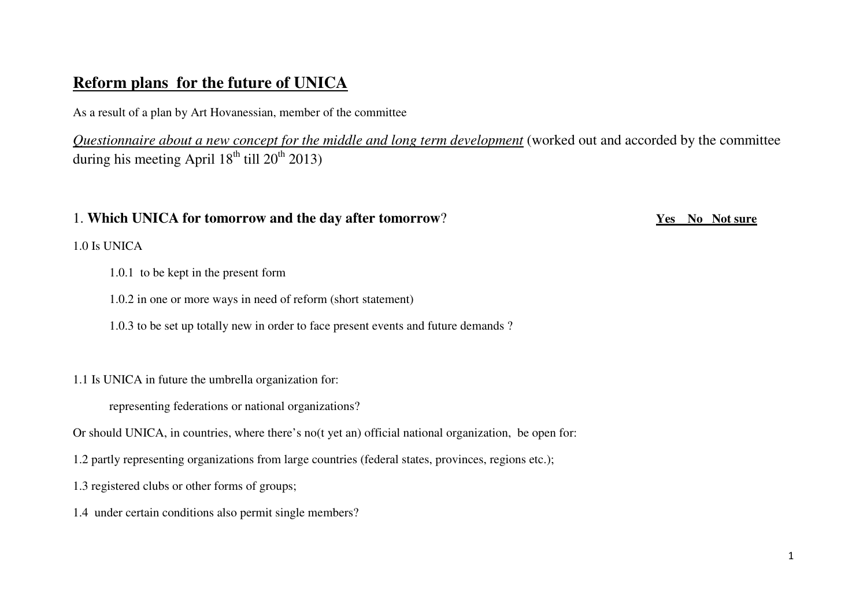# **Reform plans for the future of UNICA**

As a result of a plan by Art Hovanessian, member of the committee

*Questionnaire about a new concept for the middle and long term development* (worked out and accorded by the committee during his meeting April  $18^{th}$  till  $20^{th}$   $2013$ )

## 1. **Which UNICA for tomorrow and the day after tomorrow**? **Yes No Not sure**

1.0 Is UNICA

- 1.0.1 to be kept in the present form
- 1.0.2 in one or more ways in need of reform (short statement)
- 1.0.3 to be set up totally new in order to face present events and future demands ?

1.1 Is UNICA in future the umbrella organization for:

representing federations or national organizations?

Or should UNICA, in countries, where there's no(t yet an) official national organization, be open for:

1.2 partly representing organizations from large countries (federal states, provinces, regions etc.);

1.3 registered clubs or other forms of groups;

1.4 under certain conditions also permit single members?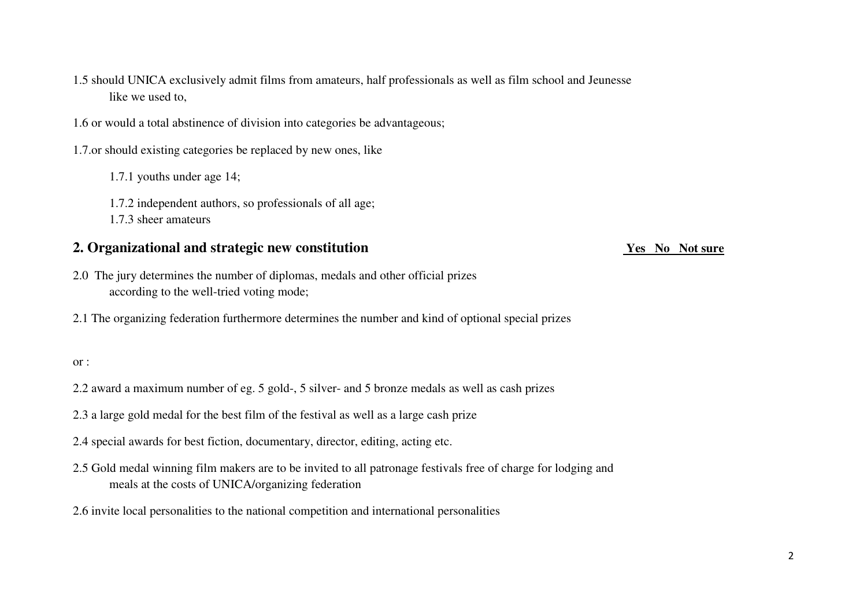1.5 should UNICA exclusively admit films from amateurs, half professionals as well as film school and Jeunesse like we used to,

1.6 or would a total abstinence of division into categories be advantageous;

1.7.or should existing categories be replaced by new ones, like

1.7.1 youths under age 14;

1.7.2 independent authors, so professionals of all age;

1.7.3 sheer amateurs

# **2. Organizational and strategic new constitution Yes No Not sure**

- 2.0 The jury determines the number of diplomas, medals and other official prizes according to the well-tried voting mode;
- 2.1 The organizing federation furthermore determines the number and kind of optional special prizes

### or :

- 2.2 award a maximum number of eg. 5 gold-, 5 silver- and 5 bronze medals as well as cash prizes
- 2.3 a large gold medal for the best film of the festival as well as a large cash prize
- 2.4 special awards for best fiction, documentary, director, editing, acting etc.
- 2.5 Gold medal winning film makers are to be invited to all patronage festivals free of charge for lodging and meals at the costs of UNICA/organizing federation
- 2.6 invite local personalities to the national competition and international personalities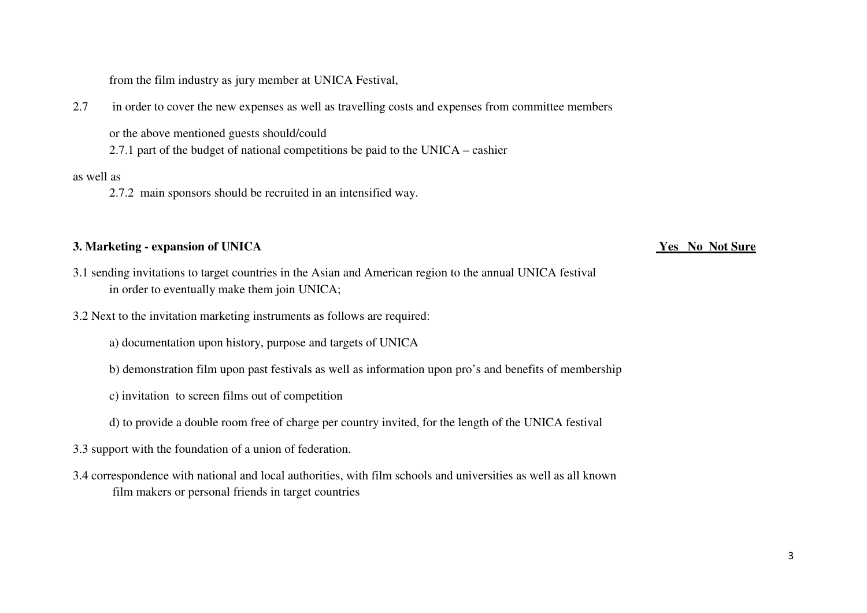from the film industry as jury member at UNICA Festival,

2.7 in order to cover the new expenses as well as travelling costs and expenses from committee members

or the above mentioned guests should/could

2.7.1 part of the budget of national competitions be paid to the UNICA – cashier

### as well as

2.7.2 main sponsors should be recruited in an intensified way.

### **3. Marketing - expansion of UNICA Yes No Not Sure**

- 3.1 sending invitations to target countries in the Asian and American region to the annual UNICA festival in order to eventually make them join UNICA;
- 3.2 Next to the invitation marketing instruments as follows are required:
	- a) documentation upon history, purpose and targets of UNICA
	- b) demonstration film upon past festivals as well as information upon pro's and benefits of membership
	- c) invitation to screen films out of competition
	- d) to provide a double room free of charge per country invited, for the length of the UNICA festival
- 3.3 support with the foundation of a union of federation.
- 3.4 correspondence with national and local authorities, with film schools and universities as well as all known film makers or personal friends in target countries